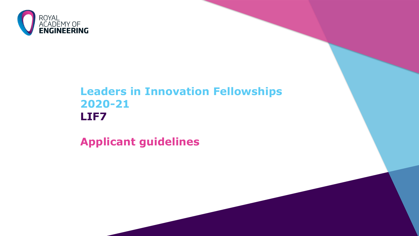

## **Leaders in Innovation Fellowships 2020-21 LIF7**

**Applicant guidelines**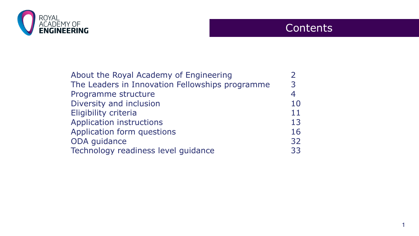

### **Contents**

| About the Royal Academy of Engineering          |    |
|-------------------------------------------------|----|
| The Leaders in Innovation Fellowships programme | 3  |
| Programme structure                             |    |
| Diversity and inclusion                         | 10 |
| Eligibility criteria                            | 11 |
| <b>Application instructions</b>                 | 13 |
| Application form questions                      | 16 |
| ODA guidance                                    | 32 |
| Technology readiness level guidance             | 33 |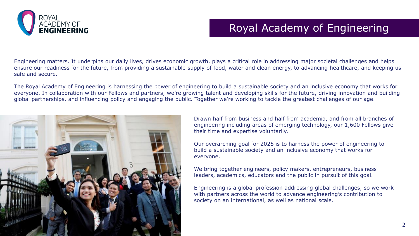

## Royal Academy of Engineering

Engineering matters. It underpins our daily lives, drives economic growth, plays a critical role in addressing major societal challenges and helps ensure our readiness for the future, from providing a sustainable supply of food, water and clean energy, to advancing healthcare, and keeping us safe and secure.

The Royal Academy of Engineering is harnessing the power of engineering to build a sustainable society and an inclusive economy that works for everyone. In collaboration with our Fellows and partners, we're growing talent and developing skills for the future, driving innovation and building global partnerships, and influencing policy and engaging the public. Together we're working to tackle the greatest challenges of our age.



Drawn half from business and half from academia, and from all branches of engineering including areas of emerging technology, our 1,600 Fellows give their time and expertise voluntarily.

Our overarching goal for 2025 is to harness the power of engineering to build a sustainable society and an inclusive economy that works for everyone.

We bring together engineers, policy makers, entrepreneurs, business leaders, academics, educators and the public in pursuit of this goal.

Engineering is a global profession addressing global challenges, so we work with partners across the world to advance engineering's contribution to society on an international, as well as national scale.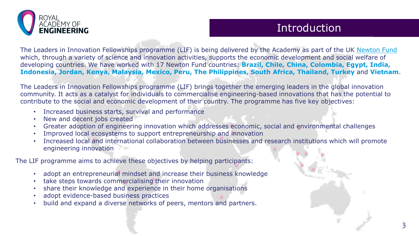

### Introduction

The Leaders in Innovation Fellowships programme (LIF) is being delivered by the Academy as part of the UK [Newton Fund](https://www.newtonfund.ac.uk/)  which, through a variety of science and innovation activities, supports the economic development and social welfare of developing countries. We have worked with 17 Newton Fund countries: **Brazil, Chile, China, Colombia, Egypt, India, Indonesia, Jordan, Kenya, Malaysia, Mexico, Peru, The Philippines, South Africa, Thailand, Turkey** and **Vietnam**.

The Leaders in Innovation Fellowships programme (LIF) brings together the emerging leaders in the global innovation community. It acts as a catalyst for individuals to commercialise engineering-based innovations that has the potential to contribute to the social and economic development of their country. The programme has five key objectives:

- Increased business starts, survival and performance
- New and decent jobs created
- Greater adoption of engineering innovation which addresses economic, social and environmental challenges
- Improved local ecosystems to support entrepreneurship and innovation
- Increased local and international collaboration between businesses and research institutions which will promote engineering innovation

The LIF programme aims to achieve these objectives by helping participants:

- adopt an entrepreneurial mindset and increase their business knowledge
- take steps towards commercialising their innovation
- share their knowledge and experience in their home organisations
- adopt evidence-based business practices
- build and expand a diverse networks of peers, mentors and partners.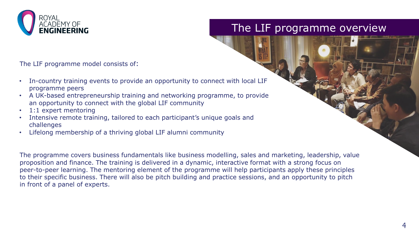

### The LIF programme overview

The LIF programme model consists of:

- In-country training events to provide an opportunity to connect with local LIF programme peers
- A UK-based entrepreneurship training and networking programme, to provide an opportunity to connect with the global LIF community
- 1:1 expert mentoring
- Intensive remote training, tailored to each participant's unique goals and challenges
- Lifelong membership of a thriving global LIF alumni community

The programme covers business fundamentals like business modelling, sales and marketing, leadership, value proposition and finance. The training is delivered in a dynamic, interactive format with a strong focus on peer-to-peer learning. The mentoring element of the programme will help participants apply these principles to their specific business. There will also be pitch building and practice sessions, and an opportunity to pitch in front of a panel of experts.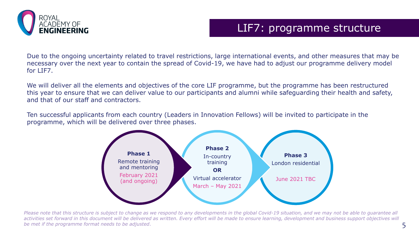

### LIF7: programme structure

Due to the ongoing uncertainty related to travel restrictions, large international events, and other measures that may be necessary over the next year to contain the spread of Covid-19, we have had to adjust our programme delivery model for LIF7.

We will deliver all the elements and objectives of the core LIF programme, but the programme has been restructured this year to ensure that we can deliver value to our participants and alumni while safeguarding their health and safety, and that of our staff and contractors.

Ten successful applicants from each country (Leaders in Innovation Fellows) will be invited to participate in the programme, which will be delivered over three phases.



*Please note that this structure is subject to change as we respond to any developments in the global Covid-19 situation, and we may not be able to guarantee all*  activities set forward in this document will be delivered as written. Every effort will be made to ensure learning, development and business support objectives will *be met if the programme format needs to be adjusted.* 5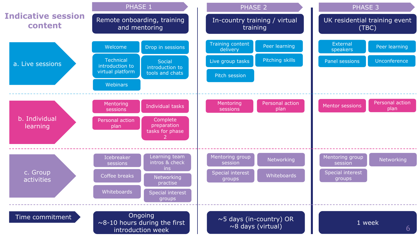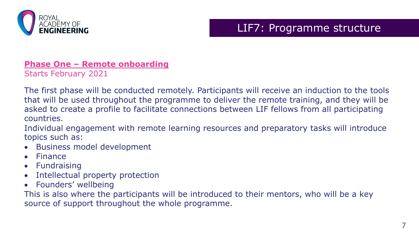

### LIF7: Programme structure

### **Phase One – Remote onboarding**

Starts February 2021

The first phase will be conducted remotely. Participants will receive an induction to the tools that will be used throughout the programme to deliver the remote training, and they will be asked to create a profile to facilitate connections between LIF fellows from all participating countries.

Individual engagement with remote learning resources and preparatory tasks will introduce topics such as:

- Business model development
- Finance
- Fundraising
- Intellectual property protection
- Founders' wellbeing

This is also where the participants will be introduced to their mentors, who will be a key source of support throughout the whole programme.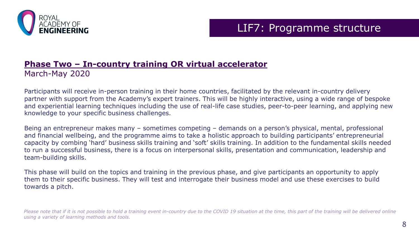

### LIF7: Programme structure

### **Phase Two – In-country training OR virtual accelerator** March-May 2020

Participants will receive in-person training in their home countries, facilitated by the relevant in-country delivery partner with support from the Academy's expert trainers. This will be highly interactive, using a wide range of bespoke and experiential learning techniques including the use of real-life case studies, peer-to-peer learning, and applying new knowledge to your specific business challenges.

Being an entrepreneur makes many – sometimes competing – demands on a person's physical, mental, professional and financial wellbeing, and the programme aims to take a holistic approach to building participants' entrepreneurial capacity by combing 'hard' business skills training and 'soft' skills training. In addition to the fundamental skills needed to run a successful business, there is a focus on interpersonal skills, presentation and communication, leadership and team-building skills.

This phase will build on the topics and training in the previous phase, and give participants an opportunity to apply them to their specific business. They will test and interrogate their business model and use these exercises to build towards a pitch.

*Please note that if it is not possible to hold a training event in-country due to the COVID 19 situation at the time, this part of the training will be delivered online using a variety of learning methods and tools.*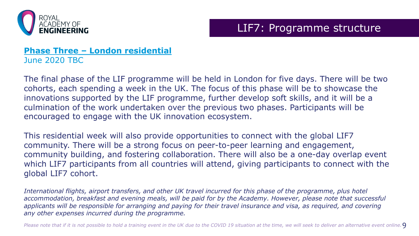

### LIF7: Programme structure

### **Phase Three – London residential** June 2020 TBC

The final phase of the LIF programme will be held in London for five days. There will be two cohorts, each spending a week in the UK. The focus of this phase will be to showcase the innovations supported by the LIF programme, further develop soft skills, and it will be a culmination of the work undertaken over the previous two phases. Participants will be encouraged to engage with the UK innovation ecosystem.

This residential week will also provide opportunities to connect with the global LIF7 community. There will be a strong focus on peer-to-peer learning and engagement, community building, and fostering collaboration. There will also be a one-day overlap event which LIF7 participants from all countries will attend, giving participants to connect with the global LIF7 cohort.

*International flights, airport transfers, and other UK travel incurred for this phase of the programme, plus hotel accommodation, breakfast and evening meals, will be paid for by the Academy. However, please note that successful applicants will be responsible for arranging and paying for their travel insurance and visa, as required, and covering any other expenses incurred during the programme.*

*Please note that if it is not possible to hold a training event in the UK due to the COVID 19 situation at the time, we will seek to deliver an alternative event online.*9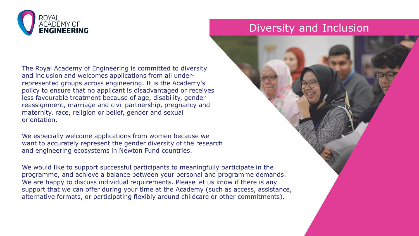

The Royal Academy of Engineering is committed to diversity and inclusion and welcomes applications from all underrepresented groups across engineering. It is the Academy's policy to ensure that no applicant is disadvantaged or receives less favourable treatment because of age, disability, gender reassignment, marriage and civil partnership, pregnancy and maternity, race, religion or belief, gender and sexual orientation.

We especially welcome applications from women because we want to accurately represent the gender diversity of the research and engineering ecosystems in Newton Fund countries.

We would like to support successful participants to meaningfully participate in the programme, and achieve a balance between your personal and programme demands. We are happy to discuss individual requirements. Please let us know if there is any support that we can offer during your time at the Academy (such as access, assistance, alternative formats, or participating flexibly around childcare or other commitments).

### Diversity and Inclusion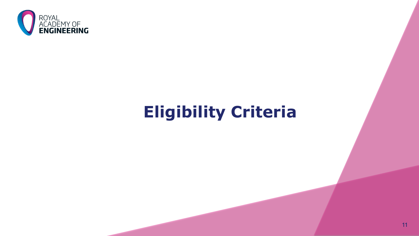

# **Eligibility Criteria**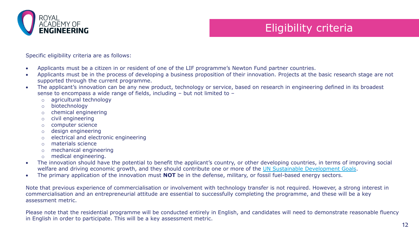

## Eligibility criteria

Specific eligibility criteria are as follows:

- Applicants must be a citizen in or resident of one of the LIF programme's Newton Fund partner countries.
- Applicants must be in the process of developing a business proposition of their innovation. Projects at the basic research stage are not supported through the current programme.
- The applicant's innovation can be any new product, technology or service, based on research in engineering defined in its broadest sense to encompass a wide range of fields, including – but not limited to –
	- o agricultural technology
	- o biotechnology
	- o chemical engineering
	- o civil engineering
	- o computer science
	- o design engineering
	- o electrical and electronic engineering
	- o materials science
	- o mechanical engineering
	- o medical engineering.
- The innovation should have the potential to benefit the applicant's country, or other developing countries, in terms of improving social welfare and driving economic growth, and they should contribute one or more of the [UN Sustainable Development Goals](https://sustainabledevelopment.un.org/?menu=1300).
- The primary application of the innovation must **NOT** be in the defense, military, or fossil fuel-based energy sectors.

Note that previous experience of commercialisation or involvement with technology transfer is not required. However, a strong interest in commercialisation and an entrepreneurial attitude are essential to successfully completing the programme, and these will be a key assessment metric.

Please note that the residential programme will be conducted entirely in English, and candidates will need to demonstrate reasonable fluency in English in order to participate. This will be a key assessment metric.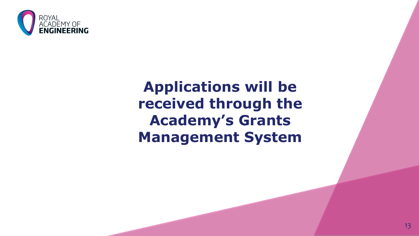

# **Applications will be received through the Academy's Grants Management System**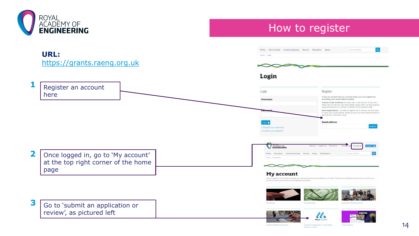

How to register



Submit an application, nomination,

review or report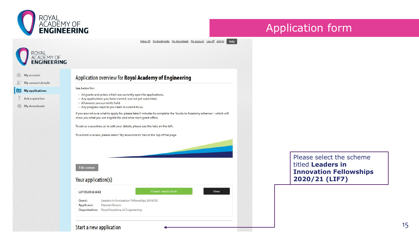

### Application form

Inbox (0) My bookmarks My downloads My account Log off Admin Help

### **OYAL ACADEMY OF**<br>**ENGINEERING**

|  | My account |  |
|--|------------|--|

My contact details

**AH** My applications

- Ask a question
- My downloads

### Application overview for Royal Academy of Engineering

#### See below for:

- All grants and prizes which are currently open for applications,
- Any applications you have started, but not yet submitted,
- · All awards you currently hold, . Any progress reports you need to submit to us.

If you are not sure what to apply for, please take 5 minutes to complete the 'Guide to Academy schemes' - which will show you what you are eligible for, and what each grant offers.

To ask us a question, or to edit your details, please see the tabs on the left.

To submit a review, please select 'My assessments' tab at the top of the page.

**Edit content** 

### Your application(s)

#### Closed: 04/02/2020 LIF1920\6\643 Grant: Leaders in Innovation Fellowships 2019/20 **Applicant:** Hannah Brown Organisation: Royal Academy of Engineering

View

Please select the scheme titled **Leaders in Innovation Fellowships 2020/21 (LIF7)**

### Start a new application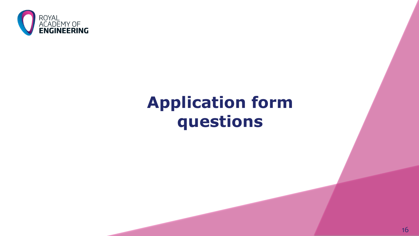

# **Application form questions**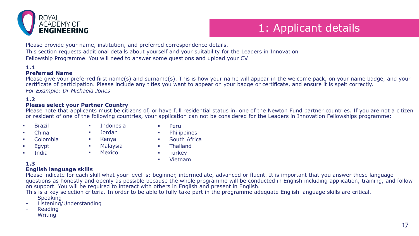

# 1: Applicant details

Please provide your name, institution, and preferred correspondence details.

This section requests additional details about yourself and your suitability for the Leaders in Innovation

Fellowship Programme. You will need to answer some questions and upload your CV.

### **1.1**

### **Preferred Name**

Please give your preferred first name(s) and surname(s). This is how your name will appear in the welcome pack, on your name badge, and your certificate of participation. Please include any titles you want to appear on your badge or certificate, and ensure it is spelt correctly. *For Example: Dr Michaela Jones*

### **1.2**

### **Please select your Partner Country**

Please note that applicants must be citizens of, or have full residential status in, one of the Newton Fund partner countries. If you are not a citizen or resident of one of the following countries, your application can not be considered for the Leaders in Innovation Fellowships programme:

- Brazil
- **China**
- Colombia
- Egypt
- India
- Indonesia
	- Jordan
- Kenya
	- Malaysia
- Mexico
- **Peru**
- **•** Philippines
- **South Africa**
- **Example 1**
- **Turkey**
- Vietnam

### **1.3**

### **English language skills**

Please indicate for each skill what your level is: beginner, intermediate, advanced or fluent. It is important that you answer these language questions as honestly and openly as possible because the whole programme will be conducted in English including application, training, and followon support. You will be required to interact with others in English and present in English.

This is a key selection criteria. In order to be able to fully take part in the programme adequate English language skills are critical.

- **Speaking**
- Listening/Understanding
- **Reading**
- **Writing**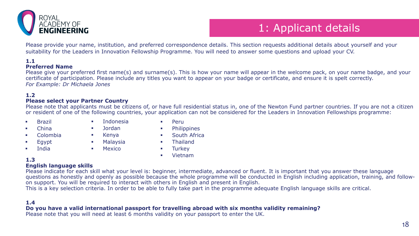

# 1: Applicant details

Please provide your name, institution, and preferred correspondence details. This section requests additional details about yourself and your suitability for the Leaders in Innovation Fellowship Programme. You will need to answer some questions and upload your CV.

### **1.1**

### **Preferred Name**

Please give your preferred first name(s) and surname(s). This is how your name will appear in the welcome pack, on your name badge, and your certificate of participation. Please include any titles you want to appear on your badge or certificate, and ensure it is spelt correctly. *For Example: Dr Michaela Jones*

#### **1.2**

#### **Please select your Partner Country**

Please note that applicants must be citizens of, or have full residential status in, one of the Newton Fund partner countries. If you are not a citizen or resident of one of the following countries, your application can not be considered for the Leaders in Innovation Fellowships programme:

- **Brazil**
- **E** China
- Colombia
- $Eq$ ypt
- **India**
- **Indonesia**  Jordan
	-
- Kenya
- **Malaysia**
- **Mexico**

**E** Thailand **Turkey** 

 Philippines South Africa

Vietnam

**Peru** 

### **1.3**

### **English language skills**

Please indicate for each skill what your level is: beginner, intermediate, advanced or fluent. It is important that you answer these language questions as honestly and openly as possible because the whole programme will be conducted in English including application, training, and followon support. You will be required to interact with others in English and present in English.

This is a key selection criteria. In order to be able to fully take part in the programme adequate English language skills are critical.

### **1.4**

### **Do you have a valid international passport for travelling abroad with six months validity remaining?**

Please note that you will need at least 6 months validity on your passport to enter the UK.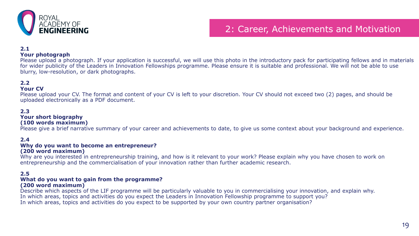

### 2: Career, Achievements and Motivation

### **2.1**

#### **Your photograph**

Please upload a photograph. If your application is successful, we will use this photo in the introductory pack for participating fellows and in materials for wider publicity of the Leaders in Innovation Fellowships programme. Please ensure it is suitable and professional. We will not be able to use blurry, low-resolution, or dark photographs.

### **2.2**

#### **Your CV**

Please upload your CV. The format and content of your CV is left to your discretion. Your CV should not exceed two (2) pages, and should be uploaded electronically as a PDF document.

### **2.3**

### **Your short biography**

### **(100 words maximum)**

Please give a brief narrative summary of your career and achievements to date, to give us some context about your background and experience.

#### **2.4**

#### **Why do you want to become an entrepreneur? (200 word maximum)**

Why are you interested in entrepreneurship training, and how is it relevant to your work? Please explain why you have chosen to work on entrepreneurship and the commercialisation of your innovation rather than further academic research.

#### **2.5**

#### **What do you want to gain from the programme? (200 word maximum)**

Describe which aspects of the LIF programme will be particularly valuable to you in commercialising your innovation, and explain why. In which areas, topics and activities do you expect the Leaders in Innovation Fellowship programme to support you? In which areas, topics and activities do you expect to be supported by your own country partner organisation?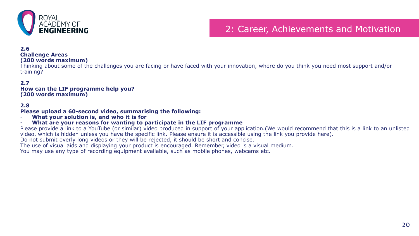

### 2: Career, Achievements and Motivation

#### **2.6**

### **Challenge Areas**

#### **(200 words maximum)**

Thinking about some of the challenges you are facing or have faced with your innovation, where do you think you need most support and/or training?

#### **2.7**

#### **How can the LIF programme help you? (200 words maximum)**

#### **2.8**

#### **Please upload a 60-second video, summarising the following:**

- **What your solution is, and who it is for**

### - **What are your reasons for wanting to participate in the LIF programme**

Please provide a link to a YouTube (or similar) video produced in support of your application. (We would recommend that this is a link to an unlisted video, which is hidden unless you have the specific link. Please ensure it is accessible using the link you provide here).

Do not submit overly long videos or they will be rejected, it should be short and concise.

The use of visual aids and displaying your product is encouraged. Remember, video is a visual medium.

You may use any type of recording equipment available, such as mobile phones, webcams etc.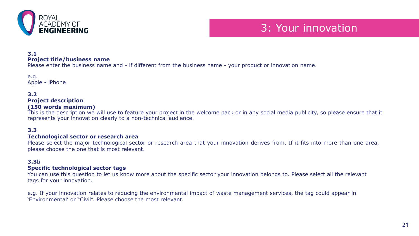

### 3: Your innovation

### **3.1**

#### **Project title/business name**

Please enter the business name and - if different from the business name - your product or innovation name.

e.g. Apple - iPhone

### **3.2**

### **Project description**

### **(150 words maximum)**

This is the description we will use to feature your project in the welcome pack or in any social media publicity, so please ensure that it represents your innovation clearly to a non-technical audience.

### **3.3**

### **Technological sector or research area**

Please select the major technological sector or research area that your innovation derives from. If it fits into more than one area, please choose the one that is most relevant.

### **3.3b**

### **Specific technological sector tags**

You can use this question to let us know more about the specific sector your innovation belongs to. Please select all the relevant tags for your innovation.

e.g. If your innovation relates to reducing the environmental impact of waste management services, the tag could appear in 'Environmental' or "Civil". Please choose the most relevant.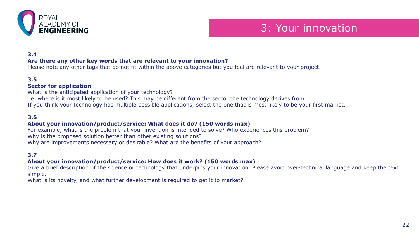

### 3: Your innovation

### **3.4**

### **Are there any other key words that are relevant to your innovation?**

Please note any other tags that do not fit within the above categories but you feel are relevant to your project.

### **3.5**

#### **Sector for application**

What is the anticipated application of your technology? i.e. where is it most likely to be used? This may be different from the sector the technology derives from. If you think your technology has multiple possible applications, select the one that is most likely to be your first market.

### **3.6**

### **About your innovation/product/service: What does it do? (150 words max)**

For example, what is the problem that your invention is intended to solve? Who experiences this problem? Why is the proposed solution better than other existing solutions? Why are improvements necessary or desirable? What are the benefits of your approach?

### **3.7**

### **About your innovation/product/service: How does it work? (150 words max)**

Give a brief description of the science or technology that underpins your innovation. Please avoid over-technical language and keep the text simple.

What is its novelty, and what further development is required to get it to market?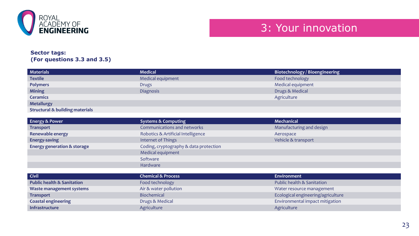

### **Sector tags: (For questions 3.3 and 3.5)**

| <b>Materials</b>                           | <b>Medical</b>    | Biotechnology / Bioengineering |
|--------------------------------------------|-------------------|--------------------------------|
| <b>Textile</b>                             | Medical equipment | Food technology                |
| <b>Polymers</b>                            | <b>Drugs</b>      | Medical equipment              |
| <b>Mining</b>                              | Diagnosis         | Drugs & Medical                |
| <b>Ceramics</b>                            |                   | Agriculture                    |
| <b>Metallurgy</b>                          |                   |                                |
| <b>Structural &amp; building materials</b> |                   |                                |

| <b>Energy &amp; Power</b>              | <b>Systems &amp; Computing</b>         | <b>Mechanical</b>        |
|----------------------------------------|----------------------------------------|--------------------------|
| <b>Transport</b>                       | Communications and networks            | Manufacturing and design |
| Renewable energy                       | Robotics & Artificial Intelligence     | Aerospace                |
| Energy-saving                          | Internet of Things                     | Vehicle & transport      |
| <b>Energy generation &amp; storage</b> | Coding, cryptography & data protection |                          |
|                                        | Medical equipment                      |                          |
|                                        | Software                               |                          |
|                                        | Hardware                               |                          |

| <b>Civil</b>                          | <b>Chemical &amp; Process</b> | Environment                        |
|---------------------------------------|-------------------------------|------------------------------------|
| <b>Public health &amp; Sanitation</b> | Food technology               | Public health & Sanitation         |
| Waste management systems              | Air & water pollution         | Water resource management          |
| <b>Transport</b>                      | <b>Biochemical</b>            | Ecological engineering/agriculture |
| <b>Coastal engineering</b>            | Drugs & Medical               | Environmental impact mitigation    |
| <b>Infrastructure</b>                 | Agriculture                   | Agriculture                        |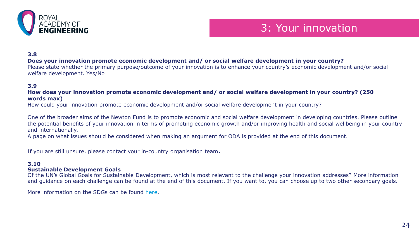

### 3: Your innovation

**3.8**

### **Does your innovation promote economic development and/ or social welfare development in your country?**

Please state whether the primary purpose/outcome of your innovation is to enhance your country's economic development and/or social welfare development. Yes/No

### **3.9**

### **How does your innovation promote economic development and/ or social welfare development in your country? (250 words max)**

How could your innovation promote economic development and/or social welfare development in your country?

One of the broader aims of the Newton Fund is to promote economic and social welfare development in developing countries. Please outline the potential benefits of your innovation in terms of promoting economic growth and/or improving health and social wellbeing in your country and internationally.

A page on what issues should be considered when making an argument for ODA is provided at the end of this document.

If you are still unsure, please contact your in-country organisation team.

#### **3.10**

#### **Sustainable Development Goals**

Of the UN's Global Goals for Sustainable Development, which is most relevant to the challenge your innovation addresses? More information and guidance on each challenge can be found at the end of this document. If you want to, you can choose up to two other secondary goals.

More information on the SDGs can be found [here.](https://sustainabledevelopment.un.org/?menu=1300)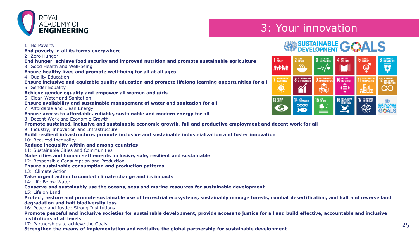

# **YOUR ANDEMY OF SERVICE SERVICE SERVICE SERVICE SERVICE SERVICE SERVICE SERVICE SERVICE SERVICE SERVICE SERVICE**

# SUSTAINABLE **GOALS**



**End hunger, achieve food security and improved nutrition and promote sustainable agriculture** 3: Good Health and Well-being

**End poverty in all its forms everywhere**

**Ensure healthy lives and promote well-being for all at all ages**

4: Quality Education

1: No Poverty

2: Zero Hunger

**Ensure inclusive and equitable quality education and promote lifelong learning opportunities for all** 5: Gender Equality

**Achieve gender equality and empower all women and girls**

6: Clean Water and Sanitation

**Ensure availability and sustainable management of water and sanitation for all**

7: Affordable and Clean Energy

**Ensure access to affordable, reliable, sustainable and modern energy for all**

8: Decent Work and Economic Growth

**Promote sustained, inclusive and sustainable economic growth, full and productive employment and decent work for all**

9: Industry, Innovation and Infrastructure

**Build resilient infrastructure, promote inclusive and sustainable industrialization and foster innovation**

10: Reduced Inequality

**Reduce inequality within and among countries**

11: Sustainable Cities and Communities

**Make cities and human settlements inclusive, safe, resilient and sustainable**

12: Responsible Consumption and Production

**Ensure sustainable consumption and production patterns**

13: Climate Action

**Take urgent action to combat climate change and its impacts**

14: Life Below Water

**Conserve and sustainably use the oceans, seas and marine resources for sustainable development**

15: Life on Land

**Protect, restore and promote sustainable use of terrestrial ecosystems, sustainably manage forests, combat desertification, and halt and reverse land degradation and halt biodiversity loss**

16: Peace and Justice Strong Institutions

**Promote peaceful and inclusive societies for sustainable development, provide access to justice for all and build effective, accountable and inclusive institutions at all levels**

17: Partnerships to achieve the Goals

17: Partnerships to achieve the Goals **25 and the strength of the global partnership for sustainable development** 2000 and **a strengthen the means of implementation and revitalize the global partnership for sustainable dev**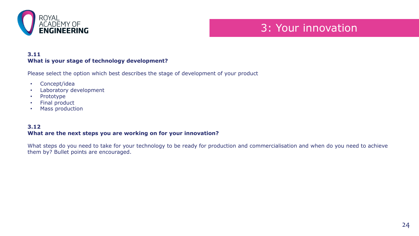

### 3: Your innovation

### **3.11 What is your stage of technology development?**

Please select the option which best describes the stage of development of your product

- Concept/idea
- Laboratory development
- Prototype
- Final product
- Mass production

### **3.12 What are the next steps you are working on for your innovation?**

What steps do you need to take for your technology to be ready for production and commercialisation and when do you need to achieve them by? Bullet points are encouraged.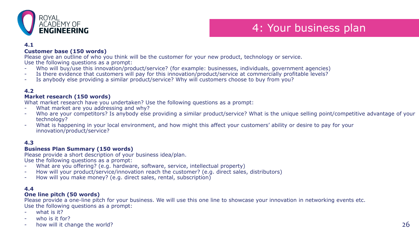

## 4: Your business plan

### **4.1**

### **Customer base (150 words)**

Please give an outline of who you think will be the customer for your new product, technology or service. Use the following questions as a prompt:

- Who will buy/use this innovation/product/service? (for example: businesses, individuals, government agencies)
- Is there evidence that customers will pay for this innovation/product/service at commercially profitable levels?
- Is anybody else providing a similar product/service? Why will customers choose to buy from you?

### **4.2**

### **Market research (150 words)**

What market research have you undertaken? Use the following questions as a prompt:

- What market are you addressing and why?
- Who are your competitors? Is anybody else providing a similar product/service? What is the unique selling point/competitive advantage of your technology?
- What is happening in your local environment, and how might this affect your customers' ability or desire to pay for your innovation/product/service?

### **4.3**

### **Business Plan Summary (150 words)**

Please provide a short description of your business idea/plan.

Use the following questions as a prompt:

- What are you offering? (e.g. hardware, software, service, intellectual property)
- How will your product/service/innovation reach the customer? (e.g. direct sales, distributors)
- How will you make money? (e.g. direct sales, rental, subscription)

### **4.4**

### **One line pitch (50 words)**

Please provide a one-line pitch for your business. We will use this one line to showcase your innovation in networking events etc. Use the following questions as a prompt:

- what is it?
- who is it for?
- how will it change the world?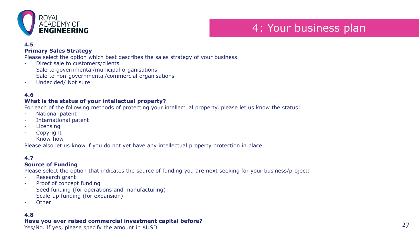

## 4: Your business plan

### **4.5**

### **Primary Sales Strategy**

Please select the option which best describes the sales strategy of your business.

- Direct sale to customers/clients
- Sale to governmental/municipal organisations
- Sale to non-governmental/commercial organisations
- Undecided/ Not sure

### **4.6**

### **What is the status of your intellectual property?**

For each of the following methods of protecting your intellectual property, please let us know the status:

- National patent
- International patent
- **Licensing**
- Copyright
- Know-how

Please also let us know if you do not yet have any intellectual property protection in place.

### **4.7**

### **Source of Funding**

Please select the option that indicates the source of funding you are next seeking for your business/project:

- Research grant
- Proof of concept funding
- Seed funding (for operations and manufacturing)
- Scale-up funding (for expansion)
- **Other**

### **4.8**

### **Have you ever raised commercial investment capital before?**

Yes/No. If yes, please specify the amount in \$USD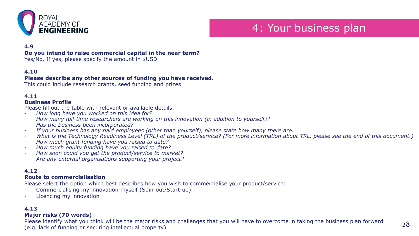

### 4: Your business plan

### **4.9**

#### **Do you intend to raise commercial capital in the near term?**

Yes/No. If yes, please specify the amount in \$USD

### **4.10**

### **Please describe any other sources of funding you have received.**

This could include research grants, seed funding and prizes

### **4.11**

### **Business Profile**

Please fill out the table with relevant or available details.

- *How long have you worked on this idea for?*
- *How many full-time researchers are working on this innovation (in addition to yourself)?*
- *Has the business been incorporated?*
- *If your business has any paid employees (other than yourself), please state how many there are.*
- *What is the Technology Readiness Level (TRL) of the product/service? (For more information about TRL, please see the end of this document.)*
- *How much grant funding have you raised to date?*
- *How much equity funding have you raised to date?*
- *How soon could you get the product/service to market?*
- *Are any external organisations supporting your project?*

### **4.12**

### **Route to commercialisation**

Please select the option which best describes how you wish to commercialise your product/service:

- Commercialising my innovation myself (Spin-out/Start-up)
- Licencing my innovation

### **4.13**

### **Major risks (70 words)**

Please identify what you think will be the major risks and challenges that you will have to overcome in taking the business plan forward (e.g. lack of funding or securing intellectual property).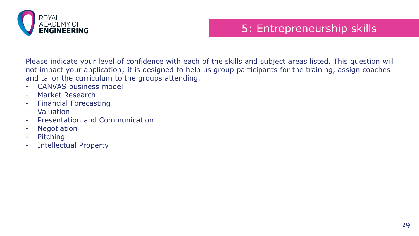

# 5: Entrepreneurship skills

Please indicate your level of confidence with each of the skills and subject areas listed. This question will not impact your application; it is designed to help us group participants for the training, assign coaches and tailor the curriculum to the groups attending.

- CANVAS business model
- Market Research
- Financial Forecasting
- Valuation
- Presentation and Communication
- Negotiation
- Pitching
- Intellectual Property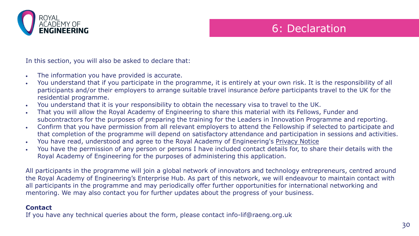

### 6: Declaration

In this section, you will also be asked to declare that:

- The information you have provided is accurate.
- You understand that if you participate in the programme, it is entirely at your own risk. It is the responsibility of all participants and/or their employers to arrange suitable travel insurance *before* participants travel to the UK for the residential programme.
- You understand that it is your responsibility to obtain the necessary visa to travel to the UK.
- That you will allow the Royal Academy of Engineering to share this material with its Fellows, Funder and subcontractors for the purposes of preparing the training for the Leaders in Innovation Programme and reporting.
- Confirm that you have permission from all relevant employers to attend the Fellowship if selected to participate and that completion of the programme will depend on satisfactory attendance and participation in sessions and activities.
- You have read, understood and agree to the Royal Academy of Engineering's [Privacy Notice](https://www.raeng.org.uk/terms-and-conditions/privacy-policy)
- You have the permission of any person or persons I have included contact details for, to share their details with the Royal Academy of Engineering for the purposes of administering this application.

All participants in the programme will join a global network of innovators and technology entrepreneurs, centred around the Royal Academy of Engineering's Enterprise Hub. As part of this network, we will endeavour to maintain contact with all participants in the programme and may periodically offer further opportunities for international networking and mentoring. We may also contact you for further updates about the progress of your business.

### **Contact**

If you have any technical queries about the form, please contact info-lif@raeng.org.uk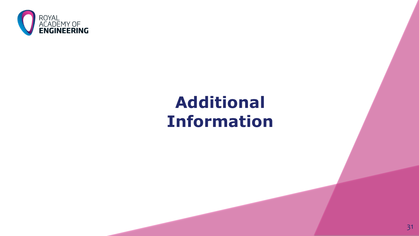

# **Additional Information**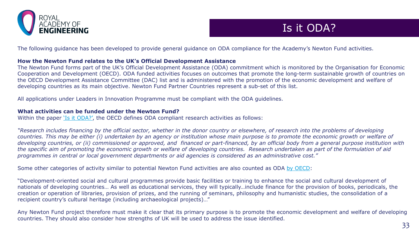

### Is it ODA?

The following guidance has been developed to provide general guidance on ODA compliance for the Academy's Newton Fund activities.

### **How the Newton Fund relates to the UK's Official Development Assistance**

The Newton Fund forms part of the UK's Official Development Assistance (ODA) commitment which is monitored by the Organisation for Economic Cooperation and Development (OECD). ODA funded activities focuses on outcomes that promote the long-term sustainable growth of countries on the OECD Development Assistance Committee (DAC) list and is administered with the promotion of the economic development and welfare of developing countries as its main objective. Newton Fund Partner Countries represent a sub-set of this list.

All applications under Leaders in Innovation Programme must be compliant with the ODA guidelines.

### **What activities can be funded under the Newton Fund?**

Within the paper ['Is it ODA?',](http://www.oecd.org/dac/stats/34086975.pdf) the OECD defines ODA compliant research activities as follows:

*"Research includes financing by the official sector, whether in the donor country or elsewhere, of research into the problems of developing countries. This may be either (i) undertaken by an agency or institution whose main purpose is to promote the economic growth or welfare of developing countries, or (ii) commissioned or approved, and financed or part-financed, by an official body from a general purpose institution with the specific aim of promoting the economic growth or welfare of developing countries. Research undertaken as part of the formulation of aid programmes in central or local government departments or aid agencies is considered as an administrative cost."*

Some other categories of activity similar to potential Newton Fund activities are also counted as ODA [by OECD](file://raengsrv09/files/teams/International/International%20folders%20and%20files/Newton%20Fund/HOODE/Downloads/(DAC%20Statistical%20Reporting%20Directives,%20http:/www.oecd.org/dac/stats/38429349.pdf,):

"Development-oriented social and cultural programmes provide basic facilities or training to enhance the social and cultural development of nationals of developing countries… As well as educational services, they will typically…include finance for the provision of books, periodicals, the creation or operation of libraries, provision of prizes, and the running of seminars, philosophy and humanistic studies, the consolidation of a recipient country's cultural heritage (including archaeological projects)…"

Any Newton Fund project therefore must make it clear that its primary purpose is to promote the economic development and welfare of developing countries. They should also consider how strengths of UK will be used to address the issue identified.